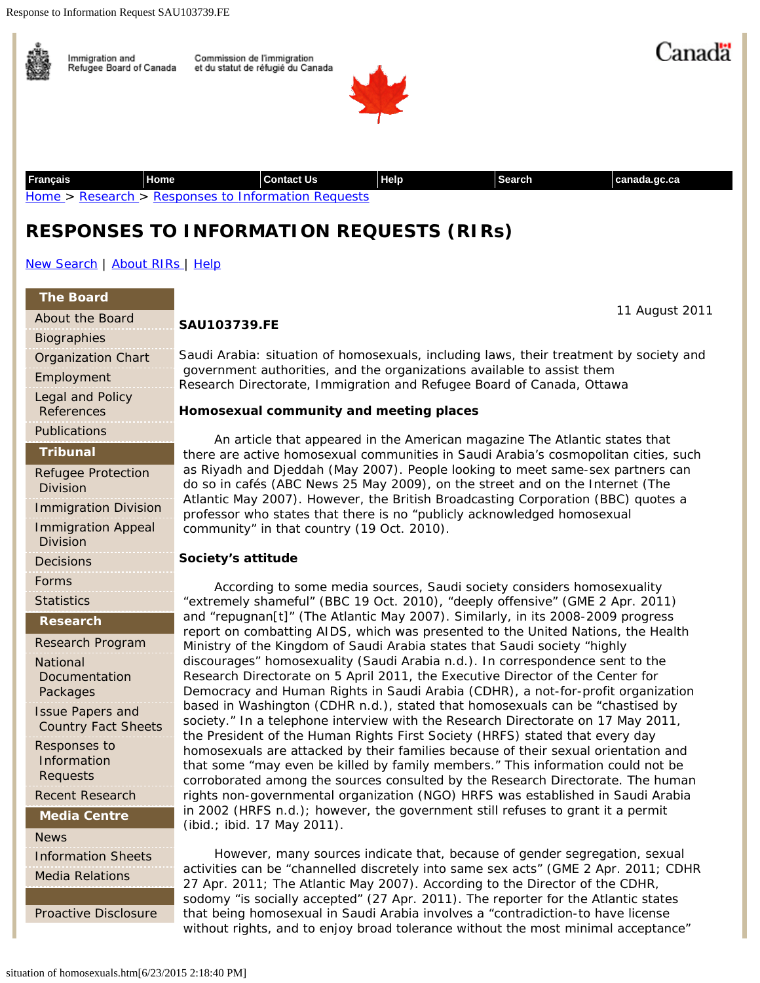

|  |                                              | <b>SAU103739.FE</b>                                                                                                                                                                                                                                                                                                                                                                                         |
|--|----------------------------------------------|-------------------------------------------------------------------------------------------------------------------------------------------------------------------------------------------------------------------------------------------------------------------------------------------------------------------------------------------------------------------------------------------------------------|
|  | <b>Biographies</b>                           |                                                                                                                                                                                                                                                                                                                                                                                                             |
|  | <b>Organization Chart</b>                    | Saudi Arabia: situation of homosexuals, including laws, their treatment by society and<br>government authorities, and the organizations available to assist them<br>Research Directorate, Immigration and Refugee Board of Canada, Ottawa                                                                                                                                                                   |
|  | Employment                                   |                                                                                                                                                                                                                                                                                                                                                                                                             |
|  | Legal and Policy<br><b>References</b>        | Homosexual community and meeting places                                                                                                                                                                                                                                                                                                                                                                     |
|  | Publications                                 | An article that appeared in the American magazine The Atlantic states that<br>there are active homosexual communities in Saudi Arabia's cosmopolitan cities, such                                                                                                                                                                                                                                           |
|  | <b>Tribunal</b>                              |                                                                                                                                                                                                                                                                                                                                                                                                             |
|  | <b>Refugee Protection</b><br><b>Division</b> | as Riyadh and Djeddah (May 2007). People looking to meet same-sex partners can<br>do so in cafés (ABC News 25 May 2009), on the street and on the Internet (The                                                                                                                                                                                                                                             |
|  | <b>Immigration Division</b>                  | Atlantic May 2007). However, the British Broadcasting Corporation (BBC) quotes a<br>professor who states that there is no "publicly acknowledged homosexual<br>community" in that country (19 Oct. 2010).                                                                                                                                                                                                   |
|  | <b>Immigration Appeal</b><br><b>Division</b> |                                                                                                                                                                                                                                                                                                                                                                                                             |
|  | <b>Decisions</b>                             | Society's attitude                                                                                                                                                                                                                                                                                                                                                                                          |
|  | Forms                                        | According to some media sources, Saudi society considers homosexuality<br>"extremely shameful" (BBC 19 Oct. 2010), "deeply offensive" (GME 2 Apr. 2011)<br>and "repugnan[t]" (The Atlantic May 2007). Similarly, in its 2008-2009 progress<br>report on combatting AIDS, which was presented to the United Nations, the Health<br>Ministry of the Kingdom of Saudi Arabia states that Saudi society "highly |
|  | <b>Statistics</b>                            |                                                                                                                                                                                                                                                                                                                                                                                                             |
|  | <b>Research</b>                              |                                                                                                                                                                                                                                                                                                                                                                                                             |
|  | Research Program                             |                                                                                                                                                                                                                                                                                                                                                                                                             |
|  | <b>National</b>                              | discourages" homosexuality (Saudi Arabia n.d.). In correspondence sent to the                                                                                                                                                                                                                                                                                                                               |
|  | Documentation                                | Research Directorate on 5 April 2011, the Executive Director of the Center for<br>Democracy and Human Rights in Saudi Arabia (CDHR), a not-for-profit organization<br>based in Washington (CDHR n.d.), stated that homosexuals can be "chastised by<br>society." In a telephone interview with the Research Directorate on 17 May 2011,                                                                     |
|  | Packages<br><b>Issue Papers and</b>          |                                                                                                                                                                                                                                                                                                                                                                                                             |
|  | <b>Country Fact Sheets</b>                   |                                                                                                                                                                                                                                                                                                                                                                                                             |
|  | Responses to                                 | the President of the Human Rights First Society (HRFS) stated that every day<br>homosexuals are attacked by their families because of their sexual orientation and                                                                                                                                                                                                                                          |
|  | Information                                  | that some "may even be killed by family members." This information could not be                                                                                                                                                                                                                                                                                                                             |
|  | Requests                                     | corroborated among the sources consulted by the Research Directorate. The human<br>rights non-governmental organization (NGO) HRFS was established in Saudi Arabia<br>in 2002 (HRFS n.d.); however, the government still refuses to grant it a permit                                                                                                                                                       |
|  | <b>Recent Research</b>                       |                                                                                                                                                                                                                                                                                                                                                                                                             |
|  | <b>Media Centre</b>                          | (ibid.; ibid. 17 May 2011).                                                                                                                                                                                                                                                                                                                                                                                 |
|  | <b>News</b>                                  | However, many sources indicate that, because of gender segregation, sexual<br>activities can be "channelled discretely into same sex acts" (GME 2 Apr. 2011; CDHR                                                                                                                                                                                                                                           |
|  | <b>Information Sheets</b>                    |                                                                                                                                                                                                                                                                                                                                                                                                             |
|  | <b>Media Relations</b>                       | 27 Apr. 2011; The Atlantic May 2007). According to the Director of the CDHR,                                                                                                                                                                                                                                                                                                                                |
|  |                                              | sodomy "is socially accepted" (27 Apr. 2011). The reporter for the Atlantic states                                                                                                                                                                                                                                                                                                                          |
|  | <b>Proactive Disclosure</b>                  | that being homosexual in Saudi Arabia involves a "contradiction-to have license                                                                                                                                                                                                                                                                                                                             |

without rights, and to enjoy broad tolerance without the most minimal acceptance"

#### situation of homosexuals.htm[6/23/2015 2:18:40 PM]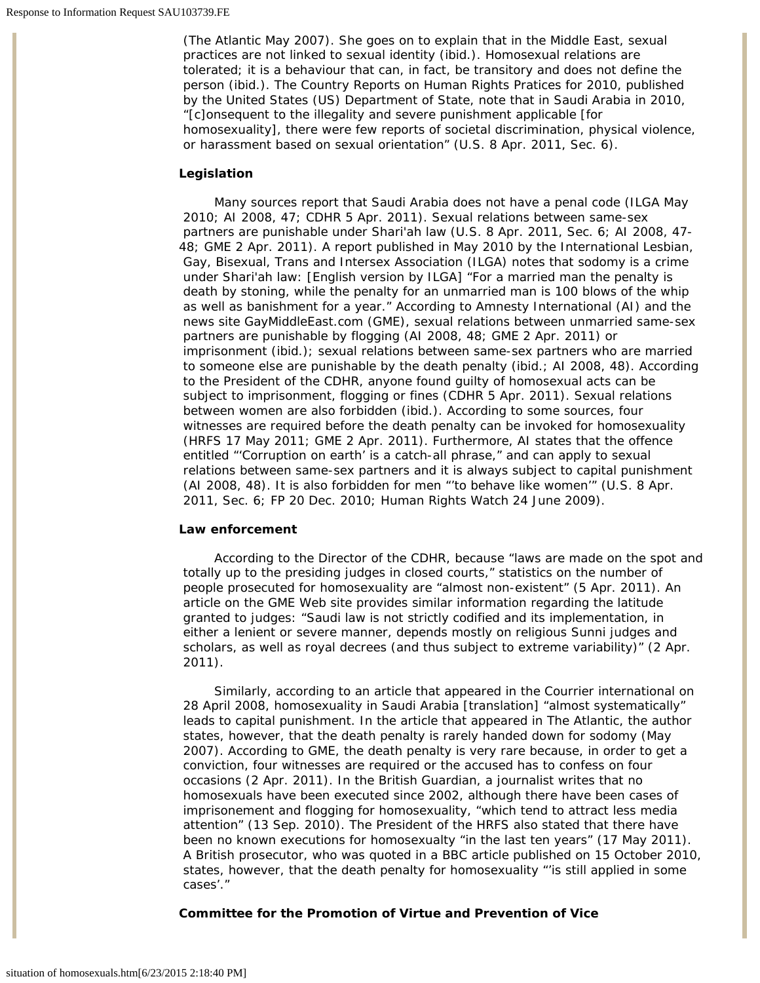(*The Atlantic* May 2007). She goes on to explain that in the Middle East, sexual practices are not linked to sexual identity (ibid.). Homosexual relations are tolerated; it is a behaviour that can, in fact, be transitory and does not define the person (ibid.). The *Country Reports on Human Rights Pratices for 2010,* published by the United States (US) Department of State, note that in Saudi Arabia in 2010, "[c]onsequent to the illegality and severe punishment applicable [for homosexuality], there were few reports of societal discrimination, physical violence, or harassment based on sexual orientation" (U.S. 8 Apr. 2011, Sec. 6).

### **Legislation**

Many sources report that Saudi Arabia does not have a penal code (ILGA May 2010; AI 2008, 47; CDHR 5 Apr. 2011). Sexual relations between same-sex partners are punishable under Shari'ah law (U.S. 8 Apr. 2011, Sec. 6; AI 2008, 47- 48; GME 2 Apr. 2011). A report published in May 2010 by the International Lesbian, Gay, Bisexual, Trans and Intersex Association (ILGA) notes that sodomy is a crime under Shari'ah law: [English version by ILGA] "For a married man the penalty is death by stoning, while the penalty for an unmarried man is 100 blows of the whip as well as banishment for a year." According to Amnesty International (AI) and the news site GayMiddleEast.com (GME), sexual relations between unmarried same-sex partners are punishable by flogging (AI 2008, 48; GME 2 Apr. 2011) or imprisonment (ibid.); sexual relations between same-sex partners who are married to someone else are punishable by the death penalty (ibid.; AI 2008, 48). According to the President of the CDHR, anyone found guilty of homosexual acts can be subject to imprisonment, flogging or fines (CDHR 5 Apr. 2011). Sexual relations between women are also forbidden (ibid.). According to some sources, four witnesses are required before the death penalty can be invoked for homosexuality (HRFS 17 May 2011; GME 2 Apr. 2011). Furthermore, AI states that the offence entitled "'Corruption on earth' is a catch-all phrase," and can apply to sexual relations between same-sex partners and it is always subject to capital punishment (AI 2008, 48). It is also forbidden for men "'to behave like women'" (U.S. 8 Apr. 2011, Sec. 6; FP 20 Dec. 2010; Human Rights Watch 24 June 2009).

## **Law enforcement**

According to the Director of the CDHR, because "laws are made on the spot and totally up to the presiding judges in closed courts," statistics on the number of people prosecuted for homosexuality are "almost non-existent" (5 Apr. 2011). An article on the GME Web site provides similar information regarding the latitude granted to judges: "Saudi law is not strictly codified and its implementation, in either a lenient or severe manner, depends mostly on religious Sunni judges and scholars, as well as royal decrees (and thus subject to extreme variability)" (2 Apr. 2011).

Similarly, according to an article that appeared in the *Courrier international* on 28 April 2008*,* homosexuality in Saudi Arabia [translation] "almost systematically" leads to capital punishment. In the article that appeared in *The Atlantic,* the author states, however, that the death penalty is rarely handed down for sodomy (May 2007). According to GME, the death penalty is very rare because, in order to get a conviction, four witnesses are required or the accused has to confess on four occasions (2 Apr. 2011). In the British *Guardian,* a journalist writes that no homosexuals have been executed since 2002, although there have been cases of imprisonement and flogging for homosexuality, "which tend to attract less media attention" (13 Sep. 2010). The President of the HRFS also stated that there have been no known executions for homosexualty "in the last ten years" (17 May 2011). A British prosecutor, who was quoted in a BBC article published on 15 October 2010, states, however, that the death penalty for homosexuality "'is still applied in some cases'."

### **Committee for the Promotion of Virtue and Prevention of Vice**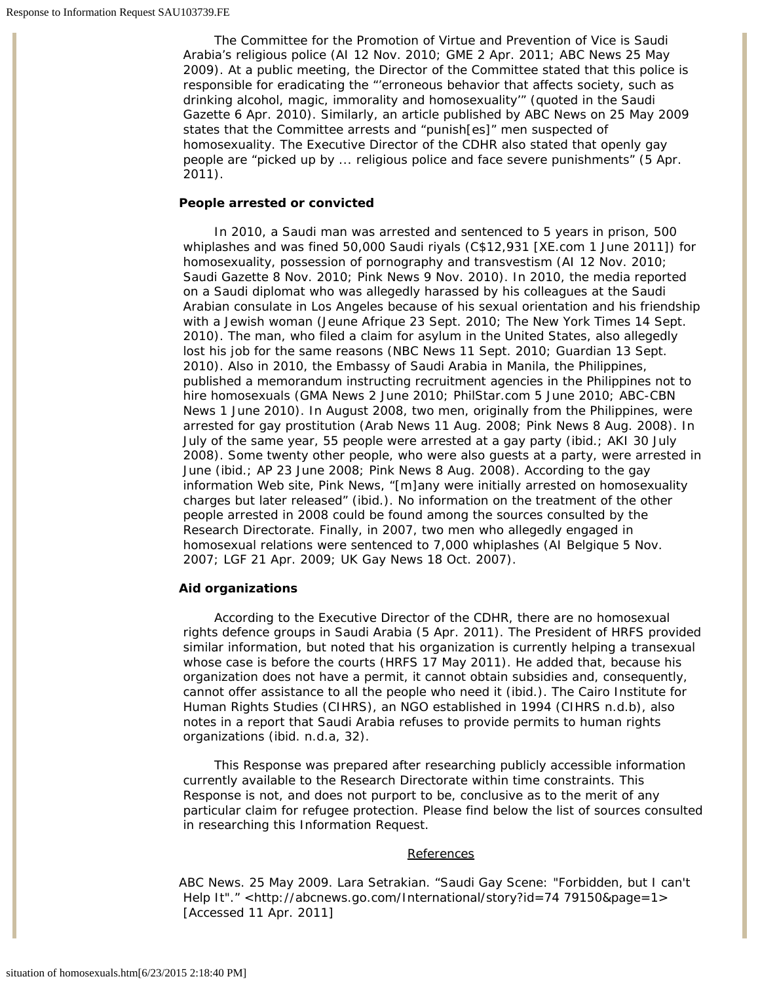The Committee for the Promotion of Virtue and Prevention of Vice is Saudi Arabia's religious police (AI 12 Nov. 2010; GME 2 Apr. 2011; ABC News 25 May 2009). At a public meeting, the Director of the Committee stated that this police is responsible for eradicating the "'erroneous behavior that affects society, such as drinking alcohol, magic, immorality and homosexuality'" (quoted in the *Saudi Gazette* 6 Apr. 2010). Similarly, an article published by ABC News on 25 May 2009 states that the Committee arrests and "punish[es]" men suspected of homosexuality. The Executive Director of the CDHR also stated that openly gay people are "picked up by ... religious police and face severe punishments" (5 Apr. 2011).

## **People arrested or convicted**

In 2010, a Saudi man was arrested and sentenced to 5 years in prison, 500 whiplashes and was fined 50,000 Saudi riyals (C\$12,931 [XE.com 1 June 2011]) for homosexuality, possession of pornography and transvestism (AI 12 Nov. 2010; *Saudi Gazette* 8 Nov. 2010; Pink News 9 Nov. 2010). In 2010, the media reported on a Saudi diplomat who was allegedly harassed by his colleagues at the Saudi Arabian consulate in Los Angeles because of his sexual orientation and his friendship with a Jewish woman (*Jeune Afrique* 23 Sept. 2010; *The New York Times* 14 Sept. 2010). The man, who filed a claim for asylum in the United States, also allegedly lost his job for the same reasons (NBC News 11 Sept. 2010; *Guardian* 13 Sept. 2010). Also in 2010, the Embassy of Saudi Arabia in Manila, the Philippines, published a memorandum instructing recruitment agencies in the Philippines not to hire homosexuals (GMA News 2 June 2010; PhilStar.com 5 June 2010; ABC-CBN News 1 June 2010). In August 2008, two men, originally from the Philippines, were arrested for gay prostitution (*Arab News* 11 Aug. 2008; Pink News 8 Aug. 2008). In July of the same year, 55 people were arrested at a gay party (ibid.; AKI 30 July 2008). Some twenty other people, who were also guests at a party, were arrested in June (ibid.; AP 23 June 2008; Pink News 8 Aug. 2008). According to the gay information Web site, Pink News, "[m]any were initially arrested on homosexuality charges but later released" (ibid.). No information on the treatment of the other people arrested in 2008 could be found among the sources consulted by the Research Directorate. Finally, in 2007, two men who allegedly engaged in homosexual relations were sentenced to 7,000 whiplashes (AI Belgique 5 Nov. 2007; LGF 21 Apr. 2009; UK Gay News 18 Oct. 2007).

## **Aid organizations**

According to the Executive Director of the CDHR, there are no homosexual rights defence groups in Saudi Arabia (5 Apr. 2011). The President of HRFS provided similar information, but noted that his organization is currently helping a transexual whose case is before the courts (HRFS 17 May 2011). He added that, because his organization does not have a permit, it cannot obtain subsidies and, consequently, cannot offer assistance to all the people who need it (ibid.). The Cairo Institute for Human Rights Studies (CIHRS), an NGO established in 1994 (CIHRS n.d.b), also notes in a report that Saudi Arabia refuses to provide permits to human rights organizations (ibid. n.d.a, 32).

This Response was prepared after researching publicly accessible information currently available to the Research Directorate within time constraints. This Response is not, and does not purport to be, conclusive as to the merit of any particular claim for refugee protection. Please find below the list of sources consulted in researching this Information Request.

### **References**

ABC News. 25 May 2009. Lara Setrakian. "Saudi Gay Scene: "Forbidden, but I can't Help It"." <http://abcnews.go.com/International/story?id=74 79150&page=1> [Accessed 11 Apr. 2011]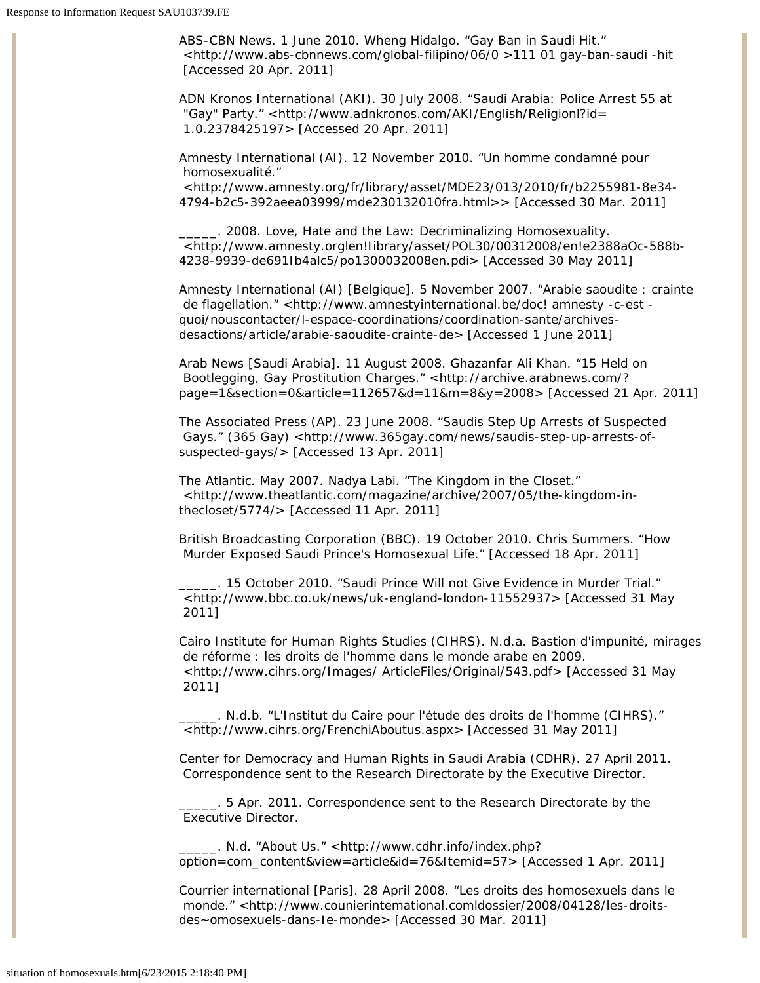ABS-CBN News. 1 June 2010. Wheng Hidalgo. "Gay Ban in Saudi Hit." <http://www.abs-cbnnews.com/global-filipino/06/0 *>111 01* gay-ban-saudi -hit [Accessed 20 Apr. 2011]

ADN Kronos International (AKI). 30 July 2008. "Saudi Arabia: Police Arrest 55 at "Gay" Party." <http://www.adnkronos.com/AKI/English/Religionl?id= 1.0.2378425197> [Accessed 20 Apr. 2011]

Amnesty International (AI). 12 November 2010. "Un homme condamné pour homosexualité."

<http://www.amnesty.org/fr/library/asset/MDE23/013/2010/fr/b2255981-8e34- 4794-b2c5-392aeea03999/mde230132010fra.html>> [Accessed 30 Mar. 2011]

\_\_\_\_\_. 2008. *Love, Hate and the Law: Decriminalizing Homosexuality*. <http://www.amnesty.orglen!Iibrary/asset/POL30/00312008/en!e2388aOc-588b-4238-9939-de691Ib4alc5/po1300032008en.pdi> [Accessed 30 May 2011]

Amnesty International (AI) [Belgique]. 5 November 2007. "Arabie saoudite : crainte de flagellation." <http://www.amnestyinternational.be/doc! amnesty -c-est quoi/nouscontacter/l-espace-coordinations/coordination-sante/archivesdesactions/article/arabie-saoudite-crainte-de> [Accessed 1 June 2011]

*Arab News* [Saudi Arabia]. 11 August 2008. Ghazanfar Ali Khan. "15 Held on Bootlegging, Gay Prostitution Charges." <http://archive.arabnews.com/? page=1&section=0&article=112657&d=11&m=8&y=2008> [Accessed 21 Apr. 2011]

The Associated Press (AP). 23 June 2008. "Saudis Step Up Arrests of Suspected Gays." (365 Gay) <http://www.365gay.com/news/saudis-step-up-arrests-ofsuspected-gays/> [Accessed 13 Apr. 2011]

*The Atlantic*. May 2007. Nadya Labi. "The Kingdom in the Closet." <http://www.theatlantic.com/magazine/archive/2007/05/the-kingdom-inthecloset/5774/> [Accessed 11 Apr. 2011]

British Broadcasting Corporation (BBC). 19 October 2010. Chris Summers. "How Murder Exposed Saudi Prince's Homosexual Life." [Accessed 18 Apr. 2011]

\_\_\_\_\_. 15 October 2010. "Saudi Prince Will not Give Evidence in Murder Trial." <http://www.bbc.co.uk/news/uk-england-london-11552937> [Accessed 31 May 2011]

Cairo Institute for Human Rights Studies (CIHRS). N.d.a. *Bastion d'impunité, mirages de réforme : les droits de l'homme dans le monde arabe en 2009*. <http://www.cihrs.org/Images/ ArticleFiles/Original/543.pdf> [Accessed 31 May 2011]

\_\_\_\_\_. N.d.b. "L'Institut du Caire pour l'étude des droits de l'homme (CIHRS)." <http://www.cihrs.org/FrenchiAboutus.aspx> [Accessed 31 May 2011]

Center for Democracy and Human Rights in Saudi Arabia (CDHR). 27 April 2011. Correspondence sent to the Research Directorate by the Executive Director.

\_\_\_\_\_. 5 Apr. 2011. Correspondence sent to the Research Directorate by the Executive Director.

\_\_\_\_\_. N.d. "About Us." <http://www.cdhr.info/index.php? option=com\_content&view=article&id=76&Itemid=57> [Accessed 1 Apr. 2011]

*Courrier international* [Paris]. 28 April 2008. "Les droits des homosexuels dans le monde." <http://www.counierintemational.comldossier/2008/04128/les-droitsdes~omosexuels-dans-Ie-monde> [Accessed 30 Mar. 2011]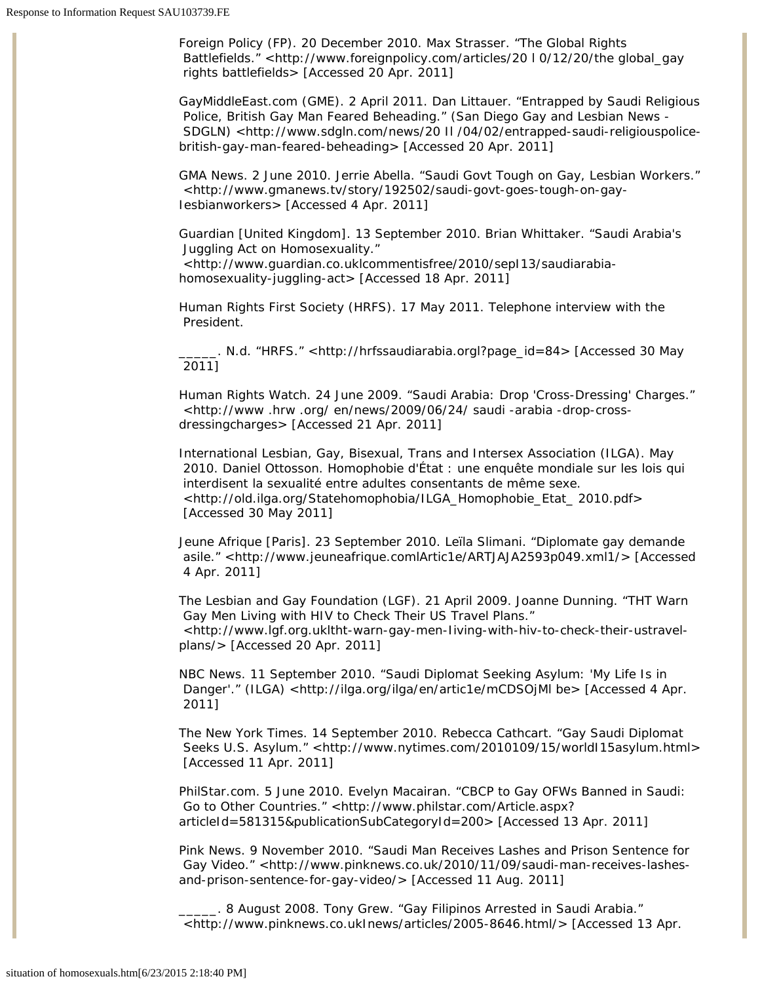*Foreign Policy* (FP). 20 December 2010. Max Strasser. "The Global Rights Battlefields." <http://www.foreignpolicy.com/articles/20 l 0/12/20/the global\_gay rights battlefields> [Accessed 20 Apr. 2011]

GayMiddleEast.com (GME). 2 April 2011. Dan Littauer. "Entrapped by Saudi Religious Police, British Gay Man Feared Beheading." (San Diego Gay and Lesbian News - SDGLN) <http://www.sdgln.com/news/20 II /04/02/entrapped-saudi-religiouspolicebritish-gay-man-feared-beheading> [Accessed 20 Apr. 2011]

GMA News. 2 June 2010. Jerrie Abella. "Saudi Govt Tough on Gay, Lesbian Workers." <http://www.gmanews.tv/story/192502/saudi-govt-goes-tough-on-gay-Iesbianworkers> [Accessed 4 Apr. 2011]

*Guardian* [United Kingdom]. 13 September 2010. Brian Whittaker. "Saudi Arabia's Juggling Act on Homosexuality."

<http://www.guardian.co.uklcommentisfree/2010/sepI13/saudiarabiahomosexuality-juggling-act> [Accessed 18 Apr. 2011]

Human Rights First Society (HRFS). 17 May 2011. Telephone interview with the President.

\_\_\_\_\_. N.d. "HRFS." <http://hrfssaudiarabia.orgl?page\_id=84> [Accessed 30 May 2011]

Human Rights Watch. 24 June 2009. "Saudi Arabia: Drop 'Cross-Dressing' Charges." <http://www .hrw .org/ en/news/2009/06/24/ saudi -arabia -drop-crossdressingcharges> [Accessed 21 Apr. 2011]

International Lesbian, Gay, Bisexual, Trans and Intersex Association (ILGA). May 2010. Daniel Ottosson. *Homophobie d'État : une enquête mondiale sur les lois qui interdisent la sexualité entre adultes consentants de même sexe*. <http://old.ilga.org/Statehomophobia/ILGA\_Homophobie\_Etat\_ 2010.pdf> [Accessed 30 May 2011]

*Jeune Afrique* [Paris]. 23 September 2010. Leïla Slimani. "Diplomate gay demande asile." <http://www.jeuneafrique.comlArtic1e/ARTJAJA2593p049.xml1/> [Accessed 4 Apr. 2011]

The Lesbian and Gay Foundation (LGF). 21 April 2009. Joanne Dunning. "THT Warn Gay Men Living with HIV to Check Their US Travel Plans." <http://www.lgf.org.ukltht-warn-gay-men-Iiving-with-hiv-to-check-their-ustravelplans/> [Accessed 20 Apr. 2011]

NBC News. 11 September 2010. "Saudi Diplomat Seeking Asylum: 'My Life Is in Danger'." (ILGA) <http://ilga.org/ilga/en/artic1e/mCDSOjMl be> [Accessed 4 Apr. 2011]

*The New York Times*. 14 September 2010. Rebecca Cathcart. "Gay Saudi Diplomat Seeks U.S. Asylum." <http://www.nytimes.com/2010109/15/worldI15asylum.html> [Accessed 11 Apr. 2011]

PhilStar.com. 5 June 2010. Evelyn Macairan. "CBCP to Gay OFWs Banned in Saudi: Go to Other Countries." <http://www.philstar.com/Article.aspx? articleId=581315&publicationSubCategoryId=200> [Accessed 13 Apr. 2011]

Pink News. 9 November 2010. "Saudi Man Receives Lashes and Prison Sentence for Gay Video." <http://www.pinknews.co.uk/2010/11/09/saudi-man-receives-lashesand-prison-sentence-for-gay-video/> [Accessed 11 Aug. 2011]

\_\_\_\_\_. 8 August 2008. Tony Grew. "Gay Filipinos Arrested in Saudi Arabia." <http://www.pinknews.co.ukInews/articles/2005-8646.html/> [Accessed 13 Apr.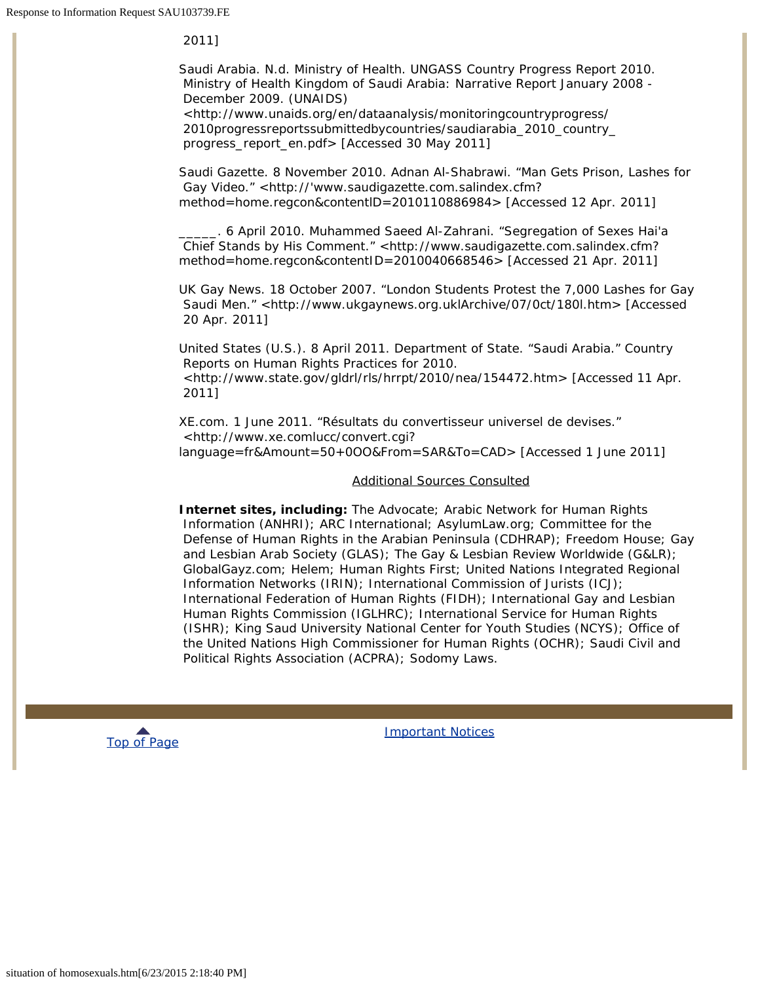2011]

Saudi Arabia. N.d. Ministry of Health. *UNGASS Country Progress Report 2010*.  *Ministry of Health Kingdom of Saudi Arabia: Narrative Report January 2008 - December 2009*. (UNAIDS)

<http://www.unaids.org/en/dataanalysis/monitoringcountryprogress/ 2010progressreportssubmittedbycountries/saudiarabia\_2010\_country\_ progress\_report\_en.pdf> [Accessed 30 May 2011]

*Saudi Gazette*. 8 November 2010. Adnan Al-Shabrawi. "Man Gets Prison, Lashes for Gay Video." <http://'www.saudigazette.com.salindex.cfm? method=home.regcon&contentlD=2010110886984> [Accessed 12 Apr. 2011]

\_\_\_\_\_. 6 April 2010. Muhammed Saeed Al-Zahrani. "Segregation of Sexes Hai'a Chief Stands by His Comment." <http://www.saudigazette.com.salindex.cfm? method=home.regcon&contentID=2010040668546> [Accessed 21 Apr. 2011]

UK Gay News. 18 October 2007. "London Students Protest the 7,000 Lashes for Gay Saudi Men." <http://www.ukgaynews.org.uklArchive/07/0ct/180l.htm> [Accessed 20 Apr. 2011]

United States (U.S.). 8 April 2011. Department of State. "Saudi Arabia." *Country Reports on Human Rights Practices for 2010*. <http://www.state.gov/gldrl/rls/hrrpt/2010/nea/154472.htm> [Accessed 11 Apr. 2011]

XE.com. 1 June 2011. "Résultats du convertisseur universel de devises." <http://www.xe.comlucc/convert.cgi? language=fr&Amount=50+0OO&From=SAR&To=CAD> [Accessed 1 June 2011]

# Additional Sources Consulted

**Internet sites, including:** The Advocate; Arabic Network for Human Rights Information (ANHRI); ARC International; AsylumLaw.org; Committee for the Defense of Human Rights in the Arabian Peninsula (CDHRAP); Freedom House; Gay and Lesbian Arab Society (GLAS); *The Gay & Lesbian Review Worldwide (G&LR)*; GlobalGayz.com; Helem; Human Rights First; United Nations Integrated Regional Information Networks (IRIN); International Commission of Jurists (ICJ); International Federation of Human Rights (FIDH); International Gay and Lesbian Human Rights Commission (IGLHRC); International Service for Human Rights (ISHR); King Saud University National Center for Youth Studies (NCYS); Office of the United Nations High Commissioner for Human Rights (OCHR); Saudi Civil and Political Rights Association (ACPRA); Sodomy Laws.